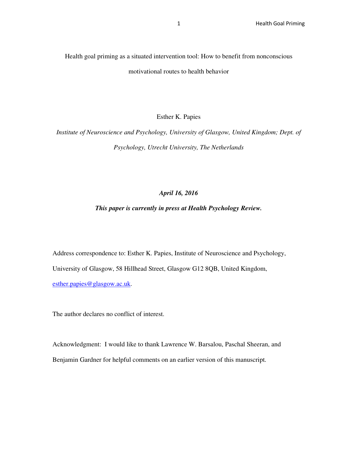Health goal priming as a situated intervention tool: How to benefit from nonconscious motivational routes to health behavior

Esther K. Papies

*Institute of Neuroscience and Psychology, University of Glasgow, United Kingdom; Dept. of Psychology, Utrecht University, The Netherlands* 

# *April 16, 2016*

### *This paper is currently in press at Health Psychology Review.*

Address correspondence to: Esther K. Papies, Institute of Neuroscience and Psychology, University of Glasgow, 58 Hillhead Street, Glasgow G12 8QB, United Kingdom, esther.papies@glasgow.ac.uk.

The author declares no conflict of interest.

Acknowledgment: I would like to thank Lawrence W. Barsalou, Paschal Sheeran, and Benjamin Gardner for helpful comments on an earlier version of this manuscript.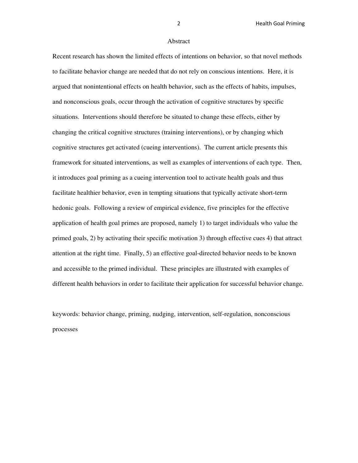#### Abstract

Recent research has shown the limited effects of intentions on behavior, so that novel methods to facilitate behavior change are needed that do not rely on conscious intentions. Here, it is argued that nonintentional effects on health behavior, such as the effects of habits, impulses, and nonconscious goals, occur through the activation of cognitive structures by specific situations. Interventions should therefore be situated to change these effects, either by changing the critical cognitive structures (training interventions), or by changing which cognitive structures get activated (cueing interventions). The current article presents this framework for situated interventions, as well as examples of interventions of each type. Then, it introduces goal priming as a cueing intervention tool to activate health goals and thus facilitate healthier behavior, even in tempting situations that typically activate short-term hedonic goals. Following a review of empirical evidence, five principles for the effective application of health goal primes are proposed, namely 1) to target individuals who value the primed goals, 2) by activating their specific motivation 3) through effective cues 4) that attract attention at the right time. Finally, 5) an effective goal-directed behavior needs to be known and accessible to the primed individual. These principles are illustrated with examples of different health behaviors in order to facilitate their application for successful behavior change.

keywords: behavior change, priming, nudging, intervention, self-regulation, nonconscious processes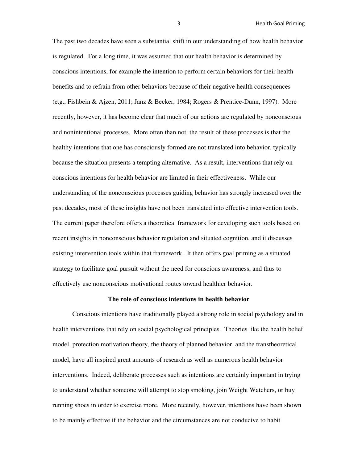The past two decades have seen a substantial shift in our understanding of how health behavior is regulated. For a long time, it was assumed that our health behavior is determined by conscious intentions, for example the intention to perform certain behaviors for their health benefits and to refrain from other behaviors because of their negative health consequences (e.g., Fishbein & Ajzen, 2011; Janz & Becker, 1984; Rogers & Prentice-Dunn, 1997). More recently, however, it has become clear that much of our actions are regulated by nonconscious and nonintentional processes. More often than not, the result of these processes is that the healthy intentions that one has consciously formed are not translated into behavior, typically because the situation presents a tempting alternative. As a result, interventions that rely on conscious intentions for health behavior are limited in their effectiveness. While our understanding of the nonconscious processes guiding behavior has strongly increased over the past decades, most of these insights have not been translated into effective intervention tools. The current paper therefore offers a theoretical framework for developing such tools based on recent insights in nonconscious behavior regulation and situated cognition, and it discusses existing intervention tools within that framework. It then offers goal priming as a situated strategy to facilitate goal pursuit without the need for conscious awareness, and thus to effectively use nonconscious motivational routes toward healthier behavior.

# **The role of conscious intentions in health behavior**

Conscious intentions have traditionally played a strong role in social psychology and in health interventions that rely on social psychological principles. Theories like the health belief model, protection motivation theory, the theory of planned behavior, and the transtheoretical model, have all inspired great amounts of research as well as numerous health behavior interventions. Indeed, deliberate processes such as intentions are certainly important in trying to understand whether someone will attempt to stop smoking, join Weight Watchers, or buy running shoes in order to exercise more. More recently, however, intentions have been shown to be mainly effective if the behavior and the circumstances are not conducive to habit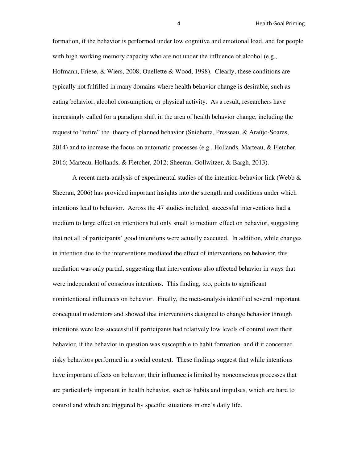formation, if the behavior is performed under low cognitive and emotional load, and for people with high working memory capacity who are not under the influence of alcohol (e.g., Hofmann, Friese, & Wiers, 2008; Ouellette & Wood, 1998). Clearly, these conditions are typically not fulfilled in many domains where health behavior change is desirable, such as eating behavior, alcohol consumption, or physical activity. As a result, researchers have increasingly called for a paradigm shift in the area of health behavior change, including the request to "retire" the theory of planned behavior (Sniehotta, Presseau, & Araújo-Soares, 2014) and to increase the focus on automatic processes (e.g., Hollands, Marteau, & Fletcher, 2016; Marteau, Hollands, & Fletcher, 2012; Sheeran, Gollwitzer, & Bargh, 2013).

A recent meta-analysis of experimental studies of the intention-behavior link (Webb  $\&$ Sheeran, 2006) has provided important insights into the strength and conditions under which intentions lead to behavior. Across the 47 studies included, successful interventions had a medium to large effect on intentions but only small to medium effect on behavior, suggesting that not all of participants' good intentions were actually executed. In addition, while changes in intention due to the interventions mediated the effect of interventions on behavior, this mediation was only partial, suggesting that interventions also affected behavior in ways that were independent of conscious intentions. This finding, too, points to significant nonintentional influences on behavior. Finally, the meta-analysis identified several important conceptual moderators and showed that interventions designed to change behavior through intentions were less successful if participants had relatively low levels of control over their behavior, if the behavior in question was susceptible to habit formation, and if it concerned risky behaviors performed in a social context. These findings suggest that while intentions have important effects on behavior, their influence is limited by nonconscious processes that are particularly important in health behavior, such as habits and impulses, which are hard to control and which are triggered by specific situations in one's daily life.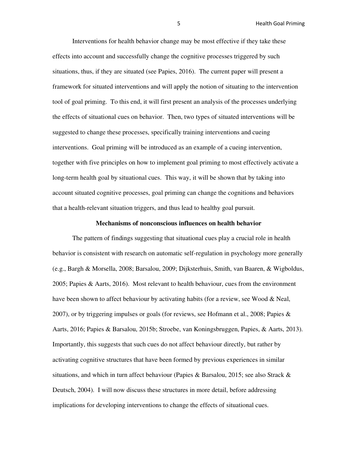Interventions for health behavior change may be most effective if they take these effects into account and successfully change the cognitive processes triggered by such situations, thus, if they are situated (see Papies, 2016). The current paper will present a framework for situated interventions and will apply the notion of situating to the intervention tool of goal priming. To this end, it will first present an analysis of the processes underlying the effects of situational cues on behavior. Then, two types of situated interventions will be suggested to change these processes, specifically training interventions and cueing interventions. Goal priming will be introduced as an example of a cueing intervention, together with five principles on how to implement goal priming to most effectively activate a long-term health goal by situational cues. This way, it will be shown that by taking into account situated cognitive processes, goal priming can change the cognitions and behaviors that a health-relevant situation triggers, and thus lead to healthy goal pursuit.

# **Mechanisms of nonconscious influences on health behavior**

The pattern of findings suggesting that situational cues play a crucial role in health behavior is consistent with research on automatic self-regulation in psychology more generally (e.g., Bargh & Morsella, 2008; Barsalou, 2009; Dijksterhuis, Smith, van Baaren, & Wigboldus, 2005; Papies & Aarts, 2016). Most relevant to health behaviour, cues from the environment have been shown to affect behaviour by activating habits (for a review, see Wood  $\&$  Neal, 2007), or by triggering impulses or goals (for reviews, see Hofmann et al., 2008; Papies & Aarts, 2016; Papies & Barsalou, 2015b; Stroebe, van Koningsbruggen, Papies, & Aarts, 2013). Importantly, this suggests that such cues do not affect behaviour directly, but rather by activating cognitive structures that have been formed by previous experiences in similar situations, and which in turn affect behaviour (Papies & Barsalou, 2015; see also Strack & Deutsch, 2004). I will now discuss these structures in more detail, before addressing implications for developing interventions to change the effects of situational cues.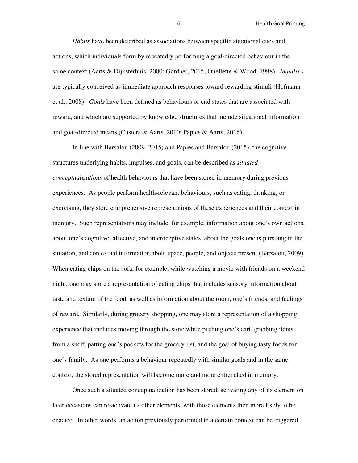*Habits* have been described as associations between specific situational cues and actions, which individuals form by repeatedly performing a goal-directed behaviour in the same context (Aarts & Dijksterhuis, 2000; Gardner, 2015; Ouellette & Wood, 1998). *Impulses* are typically conceived as immediate approach responses toward rewarding stimuli (Hofmann et al., 2008). *Goals* have been defined as behaviours or end states that are associated with reward, and which are supported by knowledge structures that include situational information and goal-directed means (Custers & Aarts, 2010; Papies & Aarts, 2016).

In line with Barsalou (2009, 2015) and Papies and Barsalou (2015), the cognitive structures underlying habits, impulses, and goals, can be described as *situated conceptualizations* of health behaviours that have been stored in memory during previous experiences. As people perform health-relevant behaviours, such as eating, drinking, or exercising, they store comprehensive representations of these experiences and their context in memory. Such representations may include, for example, information about one's own actions, about one's cognitive, affective, and interoceptive states, about the goals one is pursuing in the situation, and contextual information about space, people, and objects present (Barsalou, 2009). When eating chips on the sofa, for example, while watching a movie with friends on a weekend night, one may store a representation of eating chips that includes sensory information about taste and texture of the food, as well as information about the room, one's friends, and feelings of reward. Similarly, during grocery shopping, one may store a representation of a shopping experience that includes moving through the store while pushing one's cart, grabbing items from a shelf, patting one's pockets for the grocery list, and the goal of buying tasty foods for one's family. As one performs a behaviour repeatedly with similar goals and in the same context, the stored representation will become more and more entrenched in memory.

Once such a situated conceptualization has been stored, activating any of its element on later occasions can re-activate its other elements, with those elements then more likely to be enacted. In other words, an action previously performed in a certain context can be triggered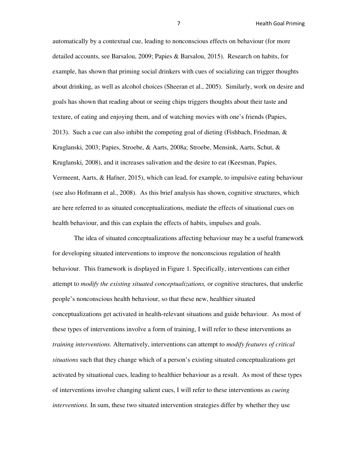automatically by a contextual cue, leading to nonconscious effects on behaviour (for more detailed accounts, see Barsalou, 2009; Papies & Barsalou, 2015). Research on habits, for example, has shown that priming social drinkers with cues of socializing can trigger thoughts about drinking, as well as alcohol choices (Sheeran et al., 2005). Similarly, work on desire and goals has shown that reading about or seeing chips triggers thoughts about their taste and texture, of eating and enjoying them, and of watching movies with one's friends (Papies, 2013). Such a cue can also inhibit the competing goal of dieting (Fishbach, Friedman,  $\&$ Kruglanski, 2003; Papies, Stroebe, & Aarts, 2008a; Stroebe, Mensink, Aarts, Schut, & Kruglanski, 2008), and it increases salivation and the desire to eat (Keesman, Papies, Vermeent, Aarts, & Hafner, 2015), which can lead, for example, to impulsive eating behaviour (see also Hofmann et al., 2008). As this brief analysis has shown, cognitive structures, which are here referred to as situated conceptualizations, mediate the effects of situational cues on health behaviour, and this can explain the effects of habits, impulses and goals.

 The idea of situated conceptualizations affecting behaviour may be a useful framework for developing situated interventions to improve the nonconscious regulation of health behaviour. This framework is displayed in Figure 1. Specifically, interventions can either attempt to *modify the existing situated conceptualizations,* or cognitive structures, that underlie people's nonconscious health behaviour, so that these new, healthier situated conceptualizations get activated in health-relevant situations and guide behaviour. As most of these types of interventions involve a form of training, I will refer to these interventions as *training interventions.* Alternatively, interventions can attempt to *modify features of critical situations* such that they change which of a person's existing situated conceptualizations get activated by situational cues, leading to healthier behaviour as a result. As most of these types of interventions involve changing salient cues, I will refer to these interventions as *cueing interventions.* In sum, these two situated intervention strategies differ by whether they use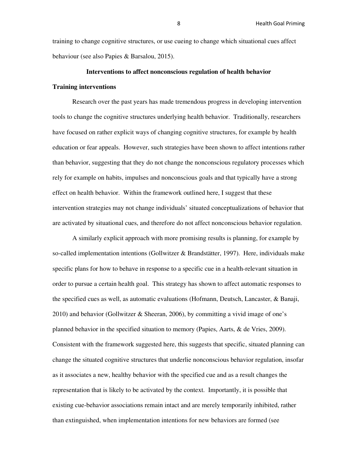training to change cognitive structures, or use cueing to change which situational cues affect behaviour (see also Papies & Barsalou, 2015).

### **Interventions to affect nonconscious regulation of health behavior**

# **Training interventions**

Research over the past years has made tremendous progress in developing intervention tools to change the cognitive structures underlying health behavior. Traditionally, researchers have focused on rather explicit ways of changing cognitive structures, for example by health education or fear appeals. However, such strategies have been shown to affect intentions rather than behavior, suggesting that they do not change the nonconscious regulatory processes which rely for example on habits, impulses and nonconscious goals and that typically have a strong effect on health behavior. Within the framework outlined here, I suggest that these intervention strategies may not change individuals' situated conceptualizations of behavior that are activated by situational cues, and therefore do not affect nonconscious behavior regulation.

A similarly explicit approach with more promising results is planning, for example by so-called implementation intentions (Gollwitzer  $\&$  Brandstätter, 1997). Here, individuals make specific plans for how to behave in response to a specific cue in a health-relevant situation in order to pursue a certain health goal. This strategy has shown to affect automatic responses to the specified cues as well, as automatic evaluations (Hofmann, Deutsch, Lancaster, & Banaji, 2010) and behavior (Gollwitzer & Sheeran, 2006), by committing a vivid image of one's planned behavior in the specified situation to memory (Papies, Aarts, & de Vries, 2009). Consistent with the framework suggested here, this suggests that specific, situated planning can change the situated cognitive structures that underlie nonconscious behavior regulation, insofar as it associates a new, healthy behavior with the specified cue and as a result changes the representation that is likely to be activated by the context. Importantly, it is possible that existing cue-behavior associations remain intact and are merely temporarily inhibited, rather than extinguished, when implementation intentions for new behaviors are formed (see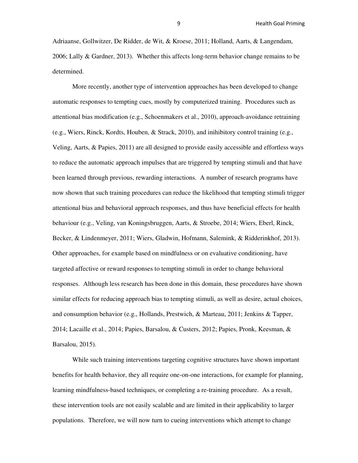Adriaanse, Gollwitzer, De Ridder, de Wit, & Kroese, 2011; Holland, Aarts, & Langendam, 2006; Lally  $\&$  Gardner, 2013). Whether this affects long-term behavior change remains to be determined.

 More recently, another type of intervention approaches has been developed to change automatic responses to tempting cues, mostly by computerized training. Procedures such as attentional bias modification (e.g., Schoenmakers et al., 2010), approach-avoidance retraining (e.g., Wiers, Rinck, Kordts, Houben, & Strack, 2010), and inihibitory control training (e.g., Veling, Aarts, & Papies, 2011) are all designed to provide easily accessible and effortless ways to reduce the automatic approach impulses that are triggered by tempting stimuli and that have been learned through previous, rewarding interactions. A number of research programs have now shown that such training procedures can reduce the likelihood that tempting stimuli trigger attentional bias and behavioral approach responses, and thus have beneficial effects for health behaviour (e.g., Veling, van Koningsbruggen, Aarts, & Stroebe, 2014; Wiers, Eberl, Rinck, Becker, & Lindenmeyer, 2011; Wiers, Gladwin, Hofmann, Salemink, & Ridderinkhof, 2013). Other approaches, for example based on mindfulness or on evaluative conditioning, have targeted affective or reward responses to tempting stimuli in order to change behavioral responses. Although less research has been done in this domain, these procedures have shown similar effects for reducing approach bias to tempting stimuli, as well as desire, actual choices, and consumption behavior (e.g., Hollands, Prestwich, & Marteau, 2011; Jenkins & Tapper, 2014; Lacaille et al., 2014; Papies, Barsalou, & Custers, 2012; Papies, Pronk, Keesman, & Barsalou, 2015).

 While such training interventions targeting cognitive structures have shown important benefits for health behavior, they all require one-on-one interactions, for example for planning, learning mindfulness-based techniques, or completing a re-training procedure. As a result, these intervention tools are not easily scalable and are limited in their applicability to larger populations. Therefore, we will now turn to cueing interventions which attempt to change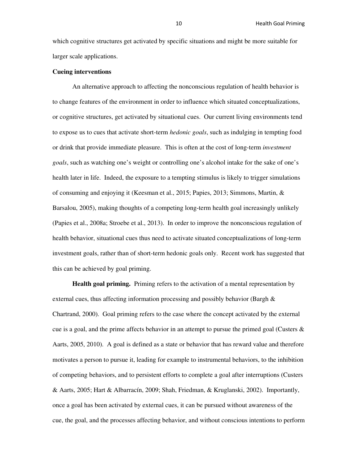which cognitive structures get activated by specific situations and might be more suitable for larger scale applications.

#### **Cueing interventions**

An alternative approach to affecting the nonconscious regulation of health behavior is to change features of the environment in order to influence which situated conceptualizations, or cognitive structures, get activated by situational cues. Our current living environments tend to expose us to cues that activate short-term *hedonic goals*, such as indulging in tempting food or drink that provide immediate pleasure. This is often at the cost of long-term *investment goals*, such as watching one's weight or controlling one's alcohol intake for the sake of one's health later in life. Indeed, the exposure to a tempting stimulus is likely to trigger simulations of consuming and enjoying it (Keesman et al., 2015; Papies, 2013; Simmons, Martin, & Barsalou, 2005), making thoughts of a competing long-term health goal increasingly unlikely (Papies et al., 2008a; Stroebe et al., 2013). In order to improve the nonconscious regulation of health behavior, situational cues thus need to activate situated conceptualizations of long-term investment goals, rather than of short-term hedonic goals only. Recent work has suggested that this can be achieved by goal priming.

**Health goal priming.** Priming refers to the activation of a mental representation by external cues, thus affecting information processing and possibly behavior (Bargh & Chartrand, 2000). Goal priming refers to the case where the concept activated by the external cue is a goal, and the prime affects behavior in an attempt to pursue the primed goal (Custers  $\&$ Aarts, 2005, 2010). A goal is defined as a state or behavior that has reward value and therefore motivates a person to pursue it, leading for example to instrumental behaviors, to the inhibition of competing behaviors, and to persistent efforts to complete a goal after interruptions (Custers & Aarts, 2005; Hart & Albarracín, 2009; Shah, Friedman, & Kruglanski, 2002). Importantly, once a goal has been activated by external cues, it can be pursued without awareness of the cue, the goal, and the processes affecting behavior, and without conscious intentions to perform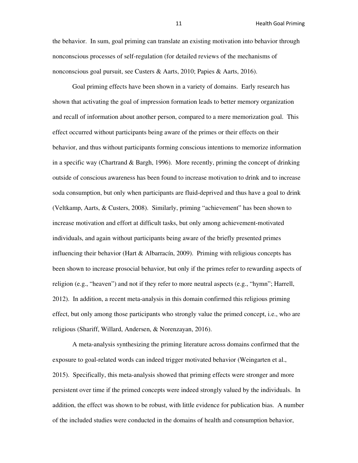the behavior. In sum, goal priming can translate an existing motivation into behavior through nonconscious processes of self-regulation (for detailed reviews of the mechanisms of nonconscious goal pursuit, see Custers & Aarts, 2010; Papies & Aarts, 2016).

Goal priming effects have been shown in a variety of domains. Early research has shown that activating the goal of impression formation leads to better memory organization and recall of information about another person, compared to a mere memorization goal. This effect occurred without participants being aware of the primes or their effects on their behavior, and thus without participants forming conscious intentions to memorize information in a specific way (Chartrand & Bargh, 1996). More recently, priming the concept of drinking outside of conscious awareness has been found to increase motivation to drink and to increase soda consumption, but only when participants are fluid-deprived and thus have a goal to drink (Veltkamp, Aarts, & Custers, 2008). Similarly, priming "achievement" has been shown to increase motivation and effort at difficult tasks, but only among achievement-motivated individuals, and again without participants being aware of the briefly presented primes influencing their behavior (Hart  $\&$  Albarracín, 2009). Priming with religious concepts has been shown to increase prosocial behavior, but only if the primes refer to rewarding aspects of religion (e.g., "heaven") and not if they refer to more neutral aspects (e.g., "hymn"; Harrell, 2012). In addition, a recent meta-analysis in this domain confirmed this religious priming effect, but only among those participants who strongly value the primed concept, i.e., who are religious (Shariff, Willard, Andersen, & Norenzayan, 2016).

A meta-analysis synthesizing the priming literature across domains confirmed that the exposure to goal-related words can indeed trigger motivated behavior (Weingarten et al., 2015). Specifically, this meta-analysis showed that priming effects were stronger and more persistent over time if the primed concepts were indeed strongly valued by the individuals. In addition, the effect was shown to be robust, with little evidence for publication bias. A number of the included studies were conducted in the domains of health and consumption behavior,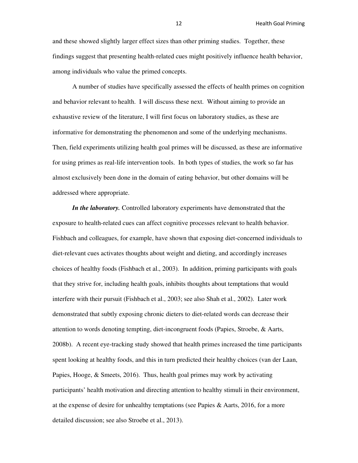and these showed slightly larger effect sizes than other priming studies. Together, these findings suggest that presenting health-related cues might positively influence health behavior, among individuals who value the primed concepts.

A number of studies have specifically assessed the effects of health primes on cognition and behavior relevant to health. I will discuss these next. Without aiming to provide an exhaustive review of the literature, I will first focus on laboratory studies, as these are informative for demonstrating the phenomenon and some of the underlying mechanisms. Then, field experiments utilizing health goal primes will be discussed, as these are informative for using primes as real-life intervention tools. In both types of studies, the work so far has almost exclusively been done in the domain of eating behavior, but other domains will be addressed where appropriate.

*In the laboratory.* Controlled laboratory experiments have demonstrated that the exposure to health-related cues can affect cognitive processes relevant to health behavior. Fishbach and colleagues, for example, have shown that exposing diet-concerned individuals to diet-relevant cues activates thoughts about weight and dieting, and accordingly increases choices of healthy foods (Fishbach et al., 2003). In addition, priming participants with goals that they strive for, including health goals, inhibits thoughts about temptations that would interfere with their pursuit (Fishbach et al., 2003; see also Shah et al., 2002). Later work demonstrated that subtly exposing chronic dieters to diet-related words can decrease their attention to words denoting tempting, diet-incongruent foods (Papies, Stroebe, & Aarts, 2008b). A recent eye-tracking study showed that health primes increased the time participants spent looking at healthy foods, and this in turn predicted their healthy choices (van der Laan, Papies, Hooge, & Smeets, 2016). Thus, health goal primes may work by activating participants' health motivation and directing attention to healthy stimuli in their environment, at the expense of desire for unhealthy temptations (see Papies & Aarts, 2016, for a more detailed discussion; see also Stroebe et al., 2013).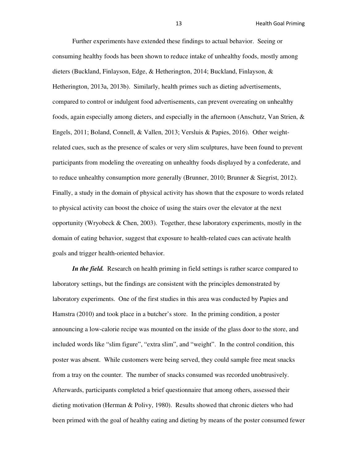Further experiments have extended these findings to actual behavior. Seeing or consuming healthy foods has been shown to reduce intake of unhealthy foods, mostly among dieters (Buckland, Finlayson, Edge, & Hetherington, 2014; Buckland, Finlayson, & Hetherington, 2013a, 2013b). Similarly, health primes such as dieting advertisements, compared to control or indulgent food advertisements, can prevent overeating on unhealthy foods, again especially among dieters, and especially in the afternoon (Anschutz, Van Strien,  $\&$ Engels, 2011; Boland, Connell, & Vallen, 2013; Versluis & Papies, 2016). Other weightrelated cues, such as the presence of scales or very slim sculptures, have been found to prevent participants from modeling the overeating on unhealthy foods displayed by a confederate, and to reduce unhealthy consumption more generally (Brunner, 2010; Brunner & Siegrist, 2012). Finally, a study in the domain of physical activity has shown that the exposure to words related to physical activity can boost the choice of using the stairs over the elevator at the next opportunity (Wryobeck & Chen, 2003). Together, these laboratory experiments, mostly in the domain of eating behavior, suggest that exposure to health-related cues can activate health goals and trigger health-oriented behavior.

*In the field.* Research on health priming in field settings is rather scarce compared to laboratory settings, but the findings are consistent with the principles demonstrated by laboratory experiments. One of the first studies in this area was conducted by Papies and Hamstra (2010) and took place in a butcher's store. In the priming condition, a poster announcing a low-calorie recipe was mounted on the inside of the glass door to the store, and included words like "slim figure", "extra slim", and "weight". In the control condition, this poster was absent. While customers were being served, they could sample free meat snacks from a tray on the counter. The number of snacks consumed was recorded unobtrusively. Afterwards, participants completed a brief questionnaire that among others, assessed their dieting motivation (Herman & Polivy, 1980). Results showed that chronic dieters who had been primed with the goal of healthy eating and dieting by means of the poster consumed fewer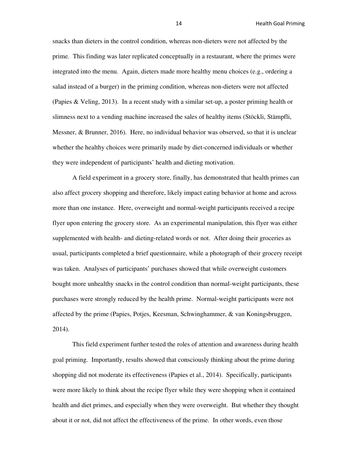snacks than dieters in the control condition, whereas non-dieters were not affected by the prime. This finding was later replicated conceptually in a restaurant, where the primes were integrated into the menu. Again, dieters made more healthy menu choices (e.g., ordering a salad instead of a burger) in the priming condition, whereas non-dieters were not affected (Papies & Veling, 2013). In a recent study with a similar set-up, a poster priming health or slimness next to a vending machine increased the sales of healthy items (Stöckli, Stämpfli, Messner, & Brunner, 2016). Here, no individual behavior was observed, so that it is unclear whether the healthy choices were primarily made by diet-concerned individuals or whether they were independent of participants' health and dieting motivation.

A field experiment in a grocery store, finally, has demonstrated that health primes can also affect grocery shopping and therefore, likely impact eating behavior at home and across more than one instance. Here, overweight and normal-weight participants received a recipe flyer upon entering the grocery store. As an experimental manipulation, this flyer was either supplemented with health- and dieting-related words or not. After doing their groceries as usual, participants completed a brief questionnaire, while a photograph of their grocery receipt was taken. Analyses of participants' purchases showed that while overweight customers bought more unhealthy snacks in the control condition than normal-weight participants, these purchases were strongly reduced by the health prime. Normal-weight participants were not affected by the prime (Papies, Potjes, Keesman, Schwinghammer, & van Koningsbruggen, 2014).

This field experiment further tested the roles of attention and awareness during health goal priming. Importantly, results showed that consciously thinking about the prime during shopping did not moderate its effectiveness (Papies et al., 2014). Specifically, participants were more likely to think about the recipe flyer while they were shopping when it contained health and diet primes, and especially when they were overweight. But whether they thought about it or not, did not affect the effectiveness of the prime. In other words, even those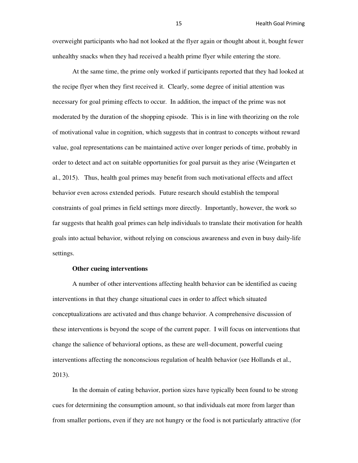overweight participants who had not looked at the flyer again or thought about it, bought fewer unhealthy snacks when they had received a health prime flyer while entering the store.

At the same time, the prime only worked if participants reported that they had looked at the recipe flyer when they first received it. Clearly, some degree of initial attention was necessary for goal priming effects to occur. In addition, the impact of the prime was not moderated by the duration of the shopping episode. This is in line with theorizing on the role of motivational value in cognition, which suggests that in contrast to concepts without reward value, goal representations can be maintained active over longer periods of time, probably in order to detect and act on suitable opportunities for goal pursuit as they arise (Weingarten et al., 2015). Thus, health goal primes may benefit from such motivational effects and affect behavior even across extended periods. Future research should establish the temporal constraints of goal primes in field settings more directly. Importantly, however, the work so far suggests that health goal primes can help individuals to translate their motivation for health goals into actual behavior, without relying on conscious awareness and even in busy daily-life settings.

### **Other cueing interventions**

A number of other interventions affecting health behavior can be identified as cueing interventions in that they change situational cues in order to affect which situated conceptualizations are activated and thus change behavior. A comprehensive discussion of these interventions is beyond the scope of the current paper. I will focus on interventions that change the salience of behavioral options, as these are well-document, powerful cueing interventions affecting the nonconscious regulation of health behavior (see Hollands et al., 2013).

In the domain of eating behavior, portion sizes have typically been found to be strong cues for determining the consumption amount, so that individuals eat more from larger than from smaller portions, even if they are not hungry or the food is not particularly attractive (for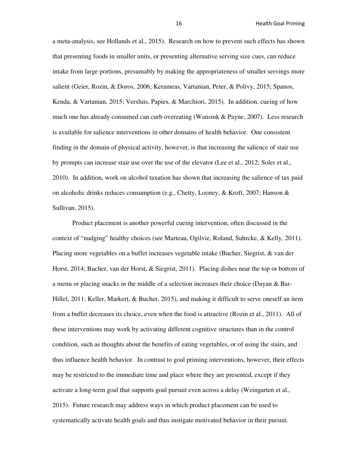a meta-analysis, see Hollands et al., 2015). Research on how to prevent such effects has shown that presenting foods in smaller units, or presenting alternative serving size cues, can reduce intake from large portions, presumably by making the appropriateness of smaller servings more salient (Geier, Rozin, & Doros, 2006; Kerameas, Vartanian, Peter, & Polivy, 2015; Spanos, Kenda, & Vartanian, 2015; Versluis, Papies, & Marchiori, 2015). In addition, cueing of how much one has already consumed can curb overeating (Wansink & Payne, 2007). Less research is available for salience interventions in other domains of health behavior. One consistent finding in the domain of physical activity, however, is that increasing the salience of stair use by prompts can increase stair use over the use of the elevator (Lee et al., 2012; Soler et al., 2010). In addition, work on alcohol taxation has shown that increasing the salience of tax paid on alcoholic drinks reduces consumption (e.g., Chetty, Looney, & Kroft, 2007; Hanson & Sullivan, 2015).

Product placement is another powerful cueing intervention, often discussed in the context of "nudging" healthy choices (see Marteau, Ogilvie, Roland, Suhrcke, & Kelly, 2011). Placing more vegetables on a buffet increases vegetable intake (Bucher, Siegrist, & van der Horst, 2014; Bucher, van der Horst, & Siegrist, 2011). Placing dishes near the top or bottom of a menu or placing snacks in the middle of a selection increases their choice (Dayan & Bar-Hillel, 2011; Keller, Markert, & Bucher, 2015), and making it difficult to serve oneself an item from a buffet decreases its choice, even when the food is attractive (Rozin et al., 2011). All of these interventions may work by activating different cognitive structures than in the control condition, such as thoughts about the benefits of eating vegetables, or of using the stairs, and thus influence health behavior. In contrast to goal priming interventions, however, their effects may be restricted to the immediate time and place where they are presented, except if they activate a long-term goal that supports goal pursuit even across a delay (Weingarten et al., 2015). Future research may address ways in which product placement can be used to systematically activate health goals and thus instigate motivated behavior in their pursuit.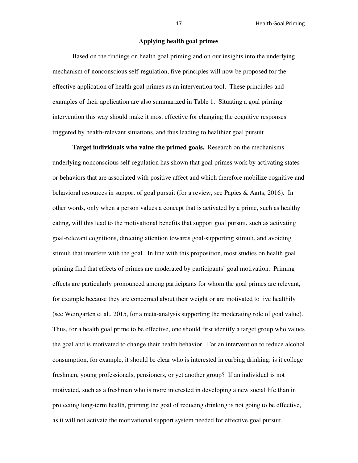#### **Applying health goal primes**

Based on the findings on health goal priming and on our insights into the underlying mechanism of nonconscious self-regulation, five principles will now be proposed for the effective application of health goal primes as an intervention tool. These principles and examples of their application are also summarized in Table 1. Situating a goal priming intervention this way should make it most effective for changing the cognitive responses triggered by health-relevant situations, and thus leading to healthier goal pursuit.

**Target individuals who value the primed goals.** Research on the mechanisms underlying nonconscious self-regulation has shown that goal primes work by activating states or behaviors that are associated with positive affect and which therefore mobilize cognitive and behavioral resources in support of goal pursuit (for a review, see Papies & Aarts, 2016). In other words, only when a person values a concept that is activated by a prime, such as healthy eating, will this lead to the motivational benefits that support goal pursuit, such as activating goal-relevant cognitions, directing attention towards goal-supporting stimuli, and avoiding stimuli that interfere with the goal. In line with this proposition, most studies on health goal priming find that effects of primes are moderated by participants' goal motivation. Priming effects are particularly pronounced among participants for whom the goal primes are relevant, for example because they are concerned about their weight or are motivated to live healthily (see Weingarten et al., 2015, for a meta-analysis supporting the moderating role of goal value). Thus, for a health goal prime to be effective, one should first identify a target group who values the goal and is motivated to change their health behavior. For an intervention to reduce alcohol consumption, for example, it should be clear who is interested in curbing drinking: is it college freshmen, young professionals, pensioners, or yet another group? If an individual is not motivated, such as a freshman who is more interested in developing a new social life than in protecting long-term health, priming the goal of reducing drinking is not going to be effective, as it will not activate the motivational support system needed for effective goal pursuit.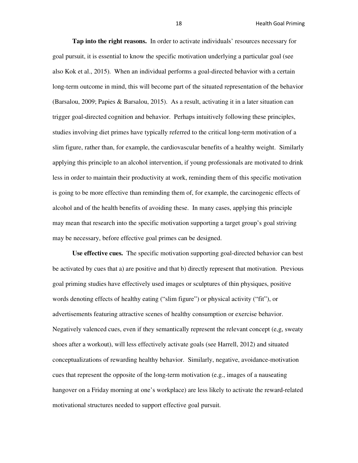**Tap into the right reasons.** In order to activate individuals' resources necessary for goal pursuit, it is essential to know the specific motivation underlying a particular goal (see also Kok et al., 2015). When an individual performs a goal-directed behavior with a certain long-term outcome in mind, this will become part of the situated representation of the behavior (Barsalou, 2009; Papies & Barsalou, 2015). As a result, activating it in a later situation can trigger goal-directed cognition and behavior. Perhaps intuitively following these principles, studies involving diet primes have typically referred to the critical long-term motivation of a slim figure, rather than, for example, the cardiovascular benefits of a healthy weight. Similarly applying this principle to an alcohol intervention, if young professionals are motivated to drink less in order to maintain their productivity at work, reminding them of this specific motivation is going to be more effective than reminding them of, for example, the carcinogenic effects of alcohol and of the health benefits of avoiding these. In many cases, applying this principle may mean that research into the specific motivation supporting a target group's goal striving may be necessary, before effective goal primes can be designed.

**Use effective cues.** The specific motivation supporting goal-directed behavior can best be activated by cues that a) are positive and that b) directly represent that motivation. Previous goal priming studies have effectively used images or sculptures of thin physiques, positive words denoting effects of healthy eating ("slim figure") or physical activity ("fit"), or advertisements featuring attractive scenes of healthy consumption or exercise behavior. Negatively valenced cues, even if they semantically represent the relevant concept (e,g, sweaty shoes after a workout), will less effectively activate goals (see Harrell, 2012) and situated conceptualizations of rewarding healthy behavior. Similarly, negative, avoidance-motivation cues that represent the opposite of the long-term motivation (e.g., images of a nauseating hangover on a Friday morning at one's workplace) are less likely to activate the reward-related motivational structures needed to support effective goal pursuit.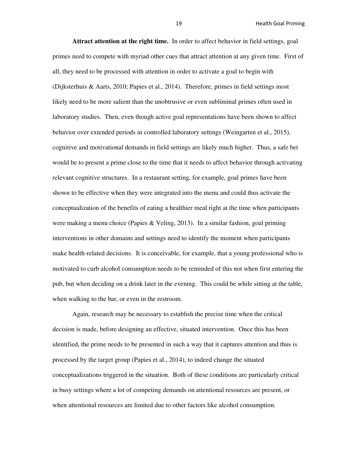**Attract attention at the right time.** In order to affect behavior in field settings, goal primes need to compete with myriad other cues that attract attention at any given time. First of all, they need to be processed with attention in order to activate a goal to begin with (Dijksterhuis & Aarts, 2010; Papies et al., 2014). Therefore, primes in field settings most likely need to be more salient than the unobtrusive or even subliminal primes often used in laboratory studies. Then, even though active goal representations have been shown to affect behavior over extended periods in controlled laboratory settings (Weingarten et al., 2015), cognitive and motivational demands in field settings are likely much higher. Thus, a safe bet would be to present a prime close to the time that it needs to affect behavior through activating relevant cognitive structures. In a restaurant setting, for example, goal primes have been shown to be effective when they were integrated into the menu and could thus activate the conceptualization of the benefits of eating a healthier meal right at the time when participants were making a menu choice (Papies & Veling, 2013). In a similar fashion, goal priming interventions in other domains and settings need to identify the moment when participants make health-related decisions. It is conceivable, for example, that a young professional who is motivated to curb alcohol consumption needs to be reminded of this not when first entering the pub, but when deciding on a drink later in the evening. This could be while sitting at the table, when walking to the bar, or even in the restroom.

Again, research may be necessary to establish the precise time when the critical decision is made, before designing an effective, situated intervention. Once this has been identified, the prime needs to be presented in such a way that it captures attention and thus is processed by the target group (Papies et al., 2014), to indeed change the situated conceptualizations triggered in the situation. Both of these conditions are particularly critical in busy settings where a lot of competing demands on attentional resources are present, or when attentional resources are limited due to other factors like alcohol consumption.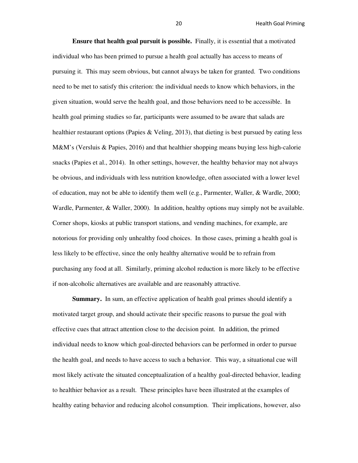**Ensure that health goal pursuit is possible.** Finally, it is essential that a motivated individual who has been primed to pursue a health goal actually has access to means of pursuing it. This may seem obvious, but cannot always be taken for granted. Two conditions need to be met to satisfy this criterion: the individual needs to know which behaviors, in the given situation, would serve the health goal, and those behaviors need to be accessible. In health goal priming studies so far, participants were assumed to be aware that salads are healthier restaurant options (Papies & Veling, 2013), that dieting is best pursued by eating less M&M's (Versluis & Papies, 2016) and that healthier shopping means buying less high-calorie snacks (Papies et al., 2014). In other settings, however, the healthy behavior may not always be obvious, and individuals with less nutrition knowledge, often associated with a lower level of education, may not be able to identify them well (e.g., Parmenter, Waller, & Wardle, 2000; Wardle, Parmenter, & Waller, 2000). In addition, healthy options may simply not be available. Corner shops, kiosks at public transport stations, and vending machines, for example, are notorious for providing only unhealthy food choices. In those cases, priming a health goal is less likely to be effective, since the only healthy alternative would be to refrain from purchasing any food at all. Similarly, priming alcohol reduction is more likely to be effective if non-alcoholic alternatives are available and are reasonably attractive.

**Summary.** In sum, an effective application of health goal primes should identify a motivated target group, and should activate their specific reasons to pursue the goal with effective cues that attract attention close to the decision point. In addition, the primed individual needs to know which goal-directed behaviors can be performed in order to pursue the health goal, and needs to have access to such a behavior. This way, a situational cue will most likely activate the situated conceptualization of a healthy goal-directed behavior, leading to healthier behavior as a result. These principles have been illustrated at the examples of healthy eating behavior and reducing alcohol consumption. Their implications, however, also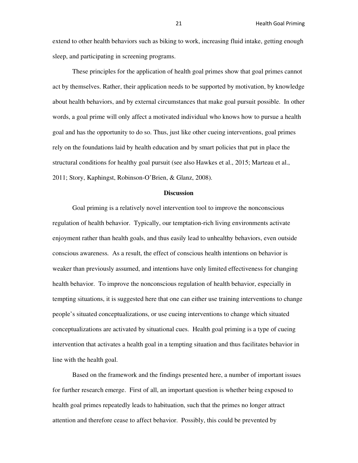extend to other health behaviors such as biking to work, increasing fluid intake, getting enough sleep, and participating in screening programs.

These principles for the application of health goal primes show that goal primes cannot act by themselves. Rather, their application needs to be supported by motivation, by knowledge about health behaviors, and by external circumstances that make goal pursuit possible. In other words, a goal prime will only affect a motivated individual who knows how to pursue a health goal and has the opportunity to do so. Thus, just like other cueing interventions, goal primes rely on the foundations laid by health education and by smart policies that put in place the structural conditions for healthy goal pursuit (see also Hawkes et al., 2015; Marteau et al., 2011; Story, Kaphingst, Robinson-O'Brien, & Glanz, 2008).

### **Discussion**

Goal priming is a relatively novel intervention tool to improve the nonconscious regulation of health behavior. Typically, our temptation-rich living environments activate enjoyment rather than health goals, and thus easily lead to unhealthy behaviors, even outside conscious awareness. As a result, the effect of conscious health intentions on behavior is weaker than previously assumed, and intentions have only limited effectiveness for changing health behavior. To improve the nonconscious regulation of health behavior, especially in tempting situations, it is suggested here that one can either use training interventions to change people's situated conceptualizations, or use cueing interventions to change which situated conceptualizations are activated by situational cues. Health goal priming is a type of cueing intervention that activates a health goal in a tempting situation and thus facilitates behavior in line with the health goal.

Based on the framework and the findings presented here, a number of important issues for further research emerge. First of all, an important question is whether being exposed to health goal primes repeatedly leads to habituation, such that the primes no longer attract attention and therefore cease to affect behavior. Possibly, this could be prevented by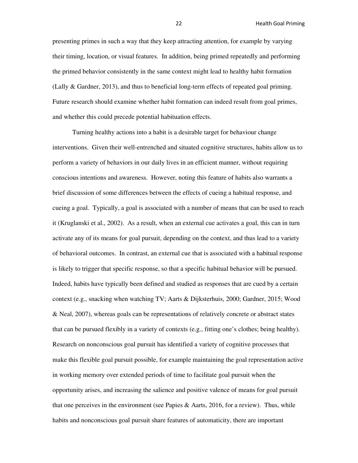presenting primes in such a way that they keep attracting attention, for example by varying their timing, location, or visual features. In addition, being primed repeatedly and performing the primed behavior consistently in the same context might lead to healthy habit formation (Lally & Gardner, 2013), and thus to beneficial long-term effects of repeated goal priming. Future research should examine whether habit formation can indeed result from goal primes, and whether this could precede potential habituation effects.

Turning healthy actions into a habit is a desirable target for behaviour change interventions. Given their well-entrenched and situated cognitive structures, habits allow us to perform a variety of behaviors in our daily lives in an efficient manner, without requiring conscious intentions and awareness. However, noting this feature of habits also warrants a brief discussion of some differences between the effects of cueing a habitual response, and cueing a goal. Typically, a goal is associated with a number of means that can be used to reach it (Kruglanski et al., 2002). As a result, when an external cue activates a goal, this can in turn activate any of its means for goal pursuit, depending on the context, and thus lead to a variety of behavioral outcomes. In contrast, an external cue that is associated with a habitual response is likely to trigger that specific response, so that a specific habitual behavior will be pursued. Indeed, habits have typically been defined and studied as responses that are cued by a certain context (e.g., snacking when watching TV; Aarts & Dijksterhuis, 2000; Gardner, 2015; Wood & Neal, 2007), whereas goals can be representations of relatively concrete or abstract states that can be pursued flexibly in a variety of contexts (e.g., fitting one's clothes; being healthy). Research on nonconscious goal pursuit has identified a variety of cognitive processes that make this flexible goal pursuit possible, for example maintaining the goal representation active in working memory over extended periods of time to facilitate goal pursuit when the opportunity arises, and increasing the salience and positive valence of means for goal pursuit that one perceives in the environment (see Papies  $\&$  Aarts, 2016, for a review). Thus, while habits and nonconscious goal pursuit share features of automaticity, there are important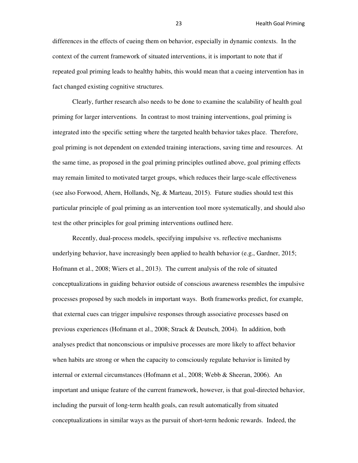differences in the effects of cueing them on behavior, especially in dynamic contexts. In the context of the current framework of situated interventions, it is important to note that if repeated goal priming leads to healthy habits, this would mean that a cueing intervention has in fact changed existing cognitive structures.

Clearly, further research also needs to be done to examine the scalability of health goal priming for larger interventions. In contrast to most training interventions, goal priming is integrated into the specific setting where the targeted health behavior takes place. Therefore, goal priming is not dependent on extended training interactions, saving time and resources. At the same time, as proposed in the goal priming principles outlined above, goal priming effects may remain limited to motivated target groups, which reduces their large-scale effectiveness (see also Forwood, Ahern, Hollands, Ng, & Marteau, 2015). Future studies should test this particular principle of goal priming as an intervention tool more systematically, and should also test the other principles for goal priming interventions outlined here.

Recently, dual-process models, specifying impulsive vs. reflective mechanisms underlying behavior, have increasingly been applied to health behavior (e.g., Gardner, 2015; Hofmann et al., 2008; Wiers et al., 2013). The current analysis of the role of situated conceptualizations in guiding behavior outside of conscious awareness resembles the impulsive processes proposed by such models in important ways. Both frameworks predict, for example, that external cues can trigger impulsive responses through associative processes based on previous experiences (Hofmann et al., 2008; Strack & Deutsch, 2004). In addition, both analyses predict that nonconscious or impulsive processes are more likely to affect behavior when habits are strong or when the capacity to consciously regulate behavior is limited by internal or external circumstances (Hofmann et al., 2008; Webb & Sheeran, 2006). An important and unique feature of the current framework, however, is that goal-directed behavior, including the pursuit of long-term health goals, can result automatically from situated conceptualizations in similar ways as the pursuit of short-term hedonic rewards. Indeed, the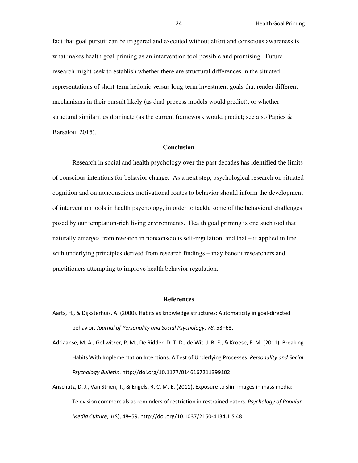fact that goal pursuit can be triggered and executed without effort and conscious awareness is what makes health goal priming as an intervention tool possible and promising. Future research might seek to establish whether there are structural differences in the situated representations of short-term hedonic versus long-term investment goals that render different mechanisms in their pursuit likely (as dual-process models would predict), or whether structural similarities dominate (as the current framework would predict; see also Papies  $\&$ Barsalou, 2015).

#### **Conclusion**

Research in social and health psychology over the past decades has identified the limits of conscious intentions for behavior change. As a next step, psychological research on situated cognition and on nonconscious motivational routes to behavior should inform the development of intervention tools in health psychology, in order to tackle some of the behavioral challenges posed by our temptation-rich living environments. Health goal priming is one such tool that naturally emerges from research in nonconscious self-regulation, and that – if applied in line with underlying principles derived from research findings – may benefit researchers and practitioners attempting to improve health behavior regulation.

### **References**

- Aarts, H., & Dijksterhuis, A. (2000). Habits as knowledge structures: Automaticity in goal-directed behavior. *Journal of Personality and Social Psychology*, *78*, 53–63.
- Adriaanse, M. A., Gollwitzer, P. M., De Ridder, D. T. D., de Wit, J. B. F., & Kroese, F. M. (2011). Breaking Habits With Implementation Intentions: A Test of Underlying Processes. *Personality and Social Psychology Bulletin*. http://doi.org/10.1177/0146167211399102
- Anschutz, D. J., Van Strien, T., & Engels, R. C. M. E. (2011). Exposure to slim images in mass media: Television commercials as reminders of restriction in restrained eaters. *Psychology of Popular Media Culture*, *1*(S), 48–59. http://doi.org/10.1037/2160-4134.1.S.48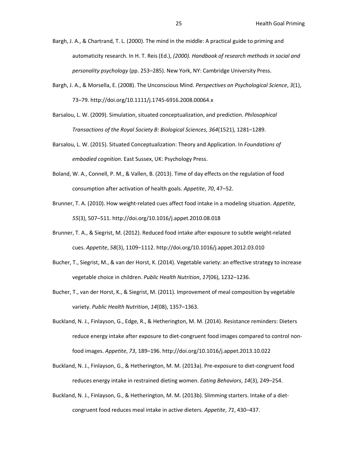- Bargh, J. A., & Chartrand, T. L. (2000). The mind in the middle: A practical guide to priming and automaticity research. In H. T. Reis (Ed.), *(2000). Handbook of research methods in social and personality psychology* (pp. 253–285). New York, NY: Cambridge University Press.
- Bargh, J. A., & Morsella, E. (2008). The Unconscious Mind. *Perspectives on Psychological Science*, *3*(1), 73–79. http://doi.org/10.1111/j.1745-6916.2008.00064.x
- Barsalou, L. W. (2009). Simulation, situated conceptualization, and prediction. *Philosophical Transactions of the Royal Society B: Biological Sciences*, *364*(1521), 1281–1289.
- Barsalou, L. W. (2015). Situated Conceptualization: Theory and Application. In *Foundations of embodied cognition*. East Sussex, UK: Psychology Press.
- Boland, W. A., Connell, P. M., & Vallen, B. (2013). Time of day effects on the regulation of food consumption after activation of health goals. *Appetite*, *70*, 47–52.
- Brunner, T. A. (2010). How weight-related cues affect food intake in a modeling situation. *Appetite*, *55*(3), 507–511. http://doi.org/10.1016/j.appet.2010.08.018
- Brunner, T. A., & Siegrist, M. (2012). Reduced food intake after exposure to subtle weight-related cues. *Appetite*, *58*(3), 1109–1112. http://doi.org/10.1016/j.appet.2012.03.010
- Bucher, T., Siegrist, M., & van der Horst, K. (2014). Vegetable variety: an effective strategy to increase vegetable choice in children. *Public Health Nutrition*, *17*(06), 1232–1236.
- Bucher, T., van der Horst, K., & Siegrist, M. (2011). Improvement of meal composition by vegetable variety. *Public Health Nutrition*, *14*(08), 1357–1363.
- Buckland, N. J., Finlayson, G., Edge, R., & Hetherington, M. M. (2014). Resistance reminders: Dieters reduce energy intake after exposure to diet-congruent food images compared to control nonfood images. *Appetite*, *73*, 189–196. http://doi.org/10.1016/j.appet.2013.10.022
- Buckland, N. J., Finlayson, G., & Hetherington, M. M. (2013a). Pre-exposure to diet-congruent food reduces energy intake in restrained dieting women. *Eating Behaviors*, *14*(3), 249–254.
- Buckland, N. J., Finlayson, G., & Hetherington, M. M. (2013b). Slimming starters. Intake of a dietcongruent food reduces meal intake in active dieters. *Appetite*, *71*, 430–437.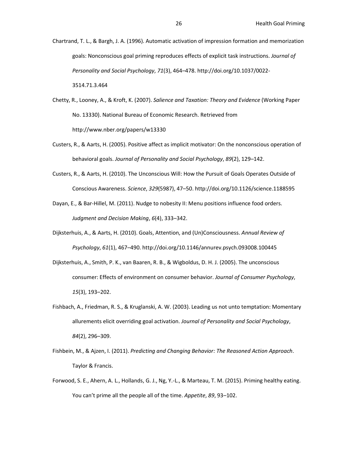- Chartrand, T. L., & Bargh, J. A. (1996). Automatic activation of impression formation and memorization goals: Nonconscious goal priming reproduces effects of explicit task instructions. *Journal of Personality and Social Psychology*, *71*(3), 464–478. http://doi.org/10.1037/0022- 3514.71.3.464
- Chetty, R., Looney, A., & Kroft, K. (2007). *Salience and Taxation: Theory and Evidence* (Working Paper No. 13330). National Bureau of Economic Research. Retrieved from http://www.nber.org/papers/w13330
- Custers, R., & Aarts, H. (2005). Positive affect as implicit motivator: On the nonconscious operation of behavioral goals. *Journal of Personality and Social Psychology*, *89*(2), 129–142.
- Custers, R., & Aarts, H. (2010). The Unconscious Will: How the Pursuit of Goals Operates Outside of Conscious Awareness. *Science*, *329*(5987), 47–50. http://doi.org/10.1126/science.1188595
- Dayan, E., & Bar-Hillel, M. (2011). Nudge to nobesity II: Menu positions influence food orders. *Judgment and Decision Making*, *6*(4), 333–342.
- Dijksterhuis, A., & Aarts, H. (2010). Goals, Attention, and (Un)Consciousness. *Annual Review of Psychology*, *61*(1), 467–490. http://doi.org/10.1146/annurev.psych.093008.100445
- Dijksterhuis, A., Smith, P. K., van Baaren, R. B., & Wigboldus, D. H. J. (2005). The unconscious consumer: Effects of environment on consumer behavior. *Journal of Consumer Psychology*, *15*(3), 193–202.
- Fishbach, A., Friedman, R. S., & Kruglanski, A. W. (2003). Leading us not unto temptation: Momentary allurements elicit overriding goal activation. *Journal of Personality and Social Psychology*, *84*(2), 296–309.
- Fishbein, M., & Ajzen, I. (2011). *Predicting and Changing Behavior: The Reasoned Action Approach*. Taylor & Francis.
- Forwood, S. E., Ahern, A. L., Hollands, G. J., Ng, Y.-L., & Marteau, T. M. (2015). Priming healthy eating. You can't prime all the people all of the time. *Appetite*, *89*, 93–102.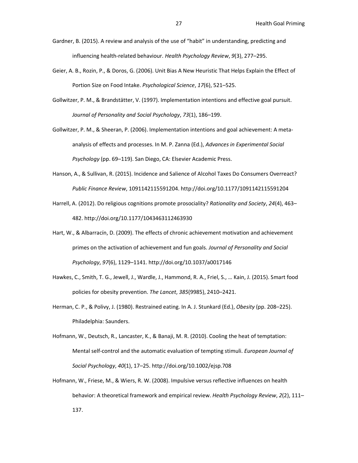- Gardner, B. (2015). A review and analysis of the use of "habit" in understanding, predicting and influencing health-related behaviour. *Health Psychology Review*, *9*(3), 277–295.
- Geier, A. B., Rozin, P., & Doros, G. (2006). Unit Bias A New Heuristic That Helps Explain the Effect of Portion Size on Food Intake. *Psychological Science*, *17*(6), 521–525.
- Gollwitzer, P. M., & Brandstätter, V. (1997). Implementation intentions and effective goal pursuit. *Journal of Personality and Social Psychology*, *73*(1), 186–199.
- Gollwitzer, P. M., & Sheeran, P. (2006). Implementation intentions and goal achievement: A metaanalysis of effects and processes. In M. P. Zanna (Ed.), *Advances in Experimental Social Psychology* (pp. 69–119). San Diego, CA: Elsevier Academic Press.
- Hanson, A., & Sullivan, R. (2015). Incidence and Salience of Alcohol Taxes Do Consumers Overreact? *Public Finance Review*, 1091142115591204. http://doi.org/10.1177/1091142115591204
- Harrell, A. (2012). Do religious cognitions promote prosociality? *Rationality and Society*, *24*(4), 463– 482. http://doi.org/10.1177/1043463112463930
- Hart, W., & Albarracín, D. (2009). The effects of chronic achievement motivation and achievement primes on the activation of achievement and fun goals. *Journal of Personality and Social Psychology*, *97*(6), 1129–1141. http://doi.org/10.1037/a0017146
- Hawkes, C., Smith, T. G., Jewell, J., Wardle, J., Hammond, R. A., Friel, S., … Kain, J. (2015). Smart food policies for obesity prevention. *The Lancet*, *385*(9985), 2410–2421.
- Herman, C. P., & Polivy, J. (1980). Restrained eating. In A. J. Stunkard (Ed.), *Obesity* (pp. 208–225). Philadelphia: Saunders.
- Hofmann, W., Deutsch, R., Lancaster, K., & Banaji, M. R. (2010). Cooling the heat of temptation: Mental self-control and the automatic evaluation of tempting stimuli. *European Journal of Social Psychology*, *40*(1), 17–25. http://doi.org/10.1002/ejsp.708
- Hofmann, W., Friese, M., & Wiers, R. W. (2008). Impulsive versus reflective influences on health behavior: A theoretical framework and empirical review. *Health Psychology Review*, *2*(2), 111– 137.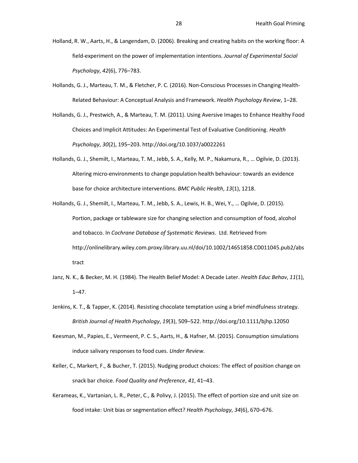- Holland, R. W., Aarts, H., & Langendam, D. (2006). Breaking and creating habits on the working floor: A field-experiment on the power of implementation intentions. *Journal of Experimental Social Psychology*, *42*(6), 776–783.
- Hollands, G. J., Marteau, T. M., & Fletcher, P. C. (2016). Non-Conscious Processes in Changing Health-Related Behaviour: A Conceptual Analysis and Framework. *Health Psychology Review*, 1–28.
- Hollands, G. J., Prestwich, A., & Marteau, T. M. (2011). Using Aversive Images to Enhance Healthy Food Choices and Implicit Attitudes: An Experimental Test of Evaluative Conditioning. *Health Psychology*, *30*(2), 195–203. http://doi.org/10.1037/a0022261
- Hollands, G. J., Shemilt, I., Marteau, T. M., Jebb, S. A., Kelly, M. P., Nakamura, R., … Ogilvie, D. (2013). Altering micro-environments to change population health behaviour: towards an evidence base for choice architecture interventions. *BMC Public Health*, *13*(1), 1218.
- Hollands, G. J., Shemilt, I., Marteau, T. M., Jebb, S. A., Lewis, H. B., Wei, Y., … Ogilvie, D. (2015). Portion, package or tableware size for changing selection and consumption of food, alcohol and tobacco. In *Cochrane Database of Systematic Reviews*. Ltd. Retrieved from http://onlinelibrary.wiley.com.proxy.library.uu.nl/doi/10.1002/14651858.CD011045.pub2/abs tract
- Janz, N. K., & Becker, M. H. (1984). The Health Belief Model: A Decade Later. *Health Educ Behav*, *11*(1), 1–47.
- Jenkins, K. T., & Tapper, K. (2014). Resisting chocolate temptation using a brief mindfulness strategy. *British Journal of Health Psychology*, *19*(3), 509–522. http://doi.org/10.1111/bjhp.12050
- Keesman, M., Papies, E., Vermeent, P. C. S., Aarts, H., & Hafner, M. (2015). Consumption simulations induce salivary responses to food cues. *Under Review*.
- Keller, C., Markert, F., & Bucher, T. (2015). Nudging product choices: The effect of position change on snack bar choice. *Food Quality and Preference*, *41*, 41–43.
- Kerameas, K., Vartanian, L. R., Peter, C., & Polivy, J. (2015). The effect of portion size and unit size on food intake: Unit bias or segmentation effect? *Health Psychology*, *34*(6), 670–676.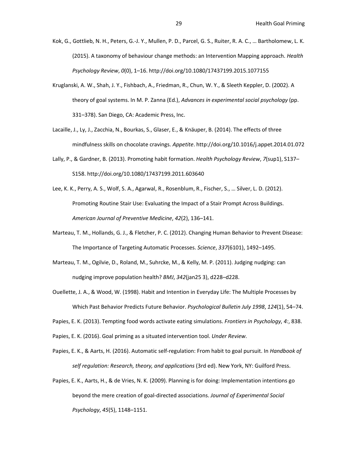Kok, G., Gottlieb, N. H., Peters, G.-J. Y., Mullen, P. D., Parcel, G. S., Ruiter, R. A. C., … Bartholomew, L. K. (2015). A taxonomy of behaviour change methods: an Intervention Mapping approach. *Health Psychology Review*, *0*(0), 1–16. http://doi.org/10.1080/17437199.2015.1077155

- Kruglanski, A. W., Shah, J. Y., Fishbach, A., Friedman, R., Chun, W. Y., & Sleeth Keppler, D. (2002). A theory of goal systems. In M. P. Zanna (Ed.), *Advances in experimental social psychology* (pp. 331–378). San Diego, CA: Academic Press, Inc.
- Lacaille, J., Ly, J., Zacchia, N., Bourkas, S., Glaser, E., & Knäuper, B. (2014). The effects of three mindfulness skills on chocolate cravings. *Appetite*. http://doi.org/10.1016/j.appet.2014.01.072
- Lally, P., & Gardner, B. (2013). Promoting habit formation. *Health Psychology Review*, *7*(sup1), S137– S158. http://doi.org/10.1080/17437199.2011.603640
- Lee, K. K., Perry, A. S., Wolf, S. A., Agarwal, R., Rosenblum, R., Fischer, S., … Silver, L. D. (2012). Promoting Routine Stair Use: Evaluating the Impact of a Stair Prompt Across Buildings. *American Journal of Preventive Medicine*, *42*(2), 136–141.
- Marteau, T. M., Hollands, G. J., & Fletcher, P. C. (2012). Changing Human Behavior to Prevent Disease: The Importance of Targeting Automatic Processes. *Science*, *337*(6101), 1492–1495.
- Marteau, T. M., Ogilvie, D., Roland, M., Suhrcke, M., & Kelly, M. P. (2011). Judging nudging: can nudging improve population health? *BMJ*, *342*(jan25 3), d228–d228.
- Ouellette, J. A., & Wood, W. (1998). Habit and Intention in Everyday Life: The Multiple Processes by Which Past Behavior Predicts Future Behavior. *Psychological Bulletin July 1998*, *124*(1), 54–74.
- Papies, E. K. (2013). Tempting food words activate eating simulations. *Frontiers in Psychology*, *4:*, 838.

Papies, E. K. (2016). Goal priming as a situated intervention tool. *Under Review*.

- Papies, E. K., & Aarts, H. (2016). Automatic self-regulation: From habit to goal pursuit. In *Handbook of self regulation: Research, theory, and applications* (3rd ed). New York, NY: Guilford Press.
- Papies, E. K., Aarts, H., & de Vries, N. K. (2009). Planning is for doing: Implementation intentions go beyond the mere creation of goal-directed associations. *Journal of Experimental Social Psychology*, *45*(5), 1148–1151.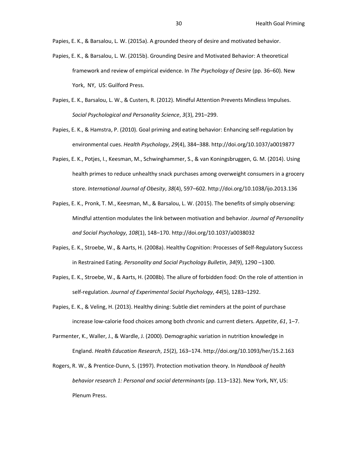Papies, E. K., & Barsalou, L. W. (2015a). A grounded theory of desire and motivated behavior.

- Papies, E. K., & Barsalou, L. W. (2015b). Grounding Desire and Motivated Behavior: A theoretical framework and review of empirical evidence. In *The Psychology of Desire* (pp. 36–60). New York, NY, US: Guilford Press.
- Papies, E. K., Barsalou, L. W., & Custers, R. (2012). Mindful Attention Prevents Mindless Impulses. *Social Psychological and Personality Science*, *3*(3), 291–299.
- Papies, E. K., & Hamstra, P. (2010). Goal priming and eating behavior: Enhancing self-regulation by environmental cues. *Health Psychology*, *29*(4), 384–388. http://doi.org/10.1037/a0019877
- Papies, E. K., Potjes, I., Keesman, M., Schwinghammer, S., & van Koningsbruggen, G. M. (2014). Using health primes to reduce unhealthy snack purchases among overweight consumers in a grocery store. *International Journal of Obesity*, *38*(4), 597–602. http://doi.org/10.1038/ijo.2013.136
- Papies, E. K., Pronk, T. M., Keesman, M., & Barsalou, L. W. (2015). The benefits of simply observing: Mindful attention modulates the link between motivation and behavior. *Journal of Personality and Social Psychology*, *108*(1), 148–170. http://doi.org/10.1037/a0038032
- Papies, E. K., Stroebe, W., & Aarts, H. (2008a). Healthy Cognition: Processes of Self-Regulatory Success in Restrained Eating. *Personality and Social Psychology Bulletin*, *34*(9), 1290 –1300.
- Papies, E. K., Stroebe, W., & Aarts, H. (2008b). The allure of forbidden food: On the role of attention in self-regulation. *Journal of Experimental Social Psychology*, *44*(5), 1283–1292.
- Papies, E. K., & Veling, H. (2013). Healthy dining: Subtle diet reminders at the point of purchase increase low-calorie food choices among both chronic and current dieters. *Appetite*, *61*, 1–7.
- Parmenter, K., Waller, J., & Wardle, J. (2000). Demographic variation in nutrition knowledge in England. *Health Education Research*, *15*(2), 163–174. http://doi.org/10.1093/her/15.2.163
- Rogers, R. W., & Prentice-Dunn, S. (1997). Protection motivation theory. In *Handbook of health behavior research 1: Personal and social determinants* (pp. 113–132). New York, NY, US: Plenum Press.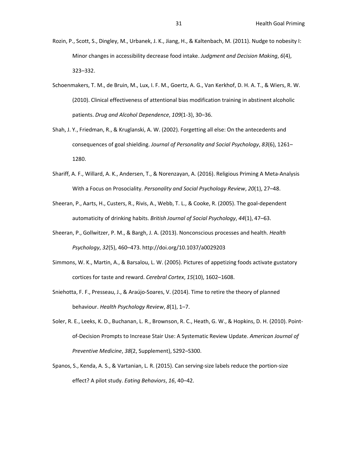- Rozin, P., Scott, S., Dingley, M., Urbanek, J. K., Jiang, H., & Kaltenbach, M. (2011). Nudge to nobesity I: Minor changes in accessibility decrease food intake. *Judgment and Decision Making*, *6*(4), 323–332.
- Schoenmakers, T. M., de Bruin, M., Lux, I. F. M., Goertz, A. G., Van Kerkhof, D. H. A. T., & Wiers, R. W. (2010). Clinical effectiveness of attentional bias modification training in abstinent alcoholic patients. *Drug and Alcohol Dependence*, *109*(1-3), 30–36.
- Shah, J. Y., Friedman, R., & Kruglanski, A. W. (2002). Forgetting all else: On the antecedents and consequences of goal shielding. *Journal of Personality and Social Psychology*, *83*(6), 1261– 1280.
- Shariff, A. F., Willard, A. K., Andersen, T., & Norenzayan, A. (2016). Religious Priming A Meta-Analysis With a Focus on Prosociality. *Personality and Social Psychology Review*, *20*(1), 27–48.
- Sheeran, P., Aarts, H., Custers, R., Rivis, A., Webb, T. L., & Cooke, R. (2005). The goal-dependent automaticity of drinking habits. *British Journal of Social Psychology*, *44*(1), 47–63.
- Sheeran, P., Gollwitzer, P. M., & Bargh, J. A. (2013). Nonconscious processes and health. *Health Psychology*, *32*(5), 460–473. http://doi.org/10.1037/a0029203
- Simmons, W. K., Martin, A., & Barsalou, L. W. (2005). Pictures of appetizing foods activate gustatory cortices for taste and reward. *Cerebral Cortex*, *15*(10), 1602–1608.
- Sniehotta, F. F., Presseau, J., & Araújo-Soares, V. (2014). Time to retire the theory of planned behaviour. *Health Psychology Review*, *8*(1), 1–7.
- Soler, R. E., Leeks, K. D., Buchanan, L. R., Brownson, R. C., Heath, G. W., & Hopkins, D. H. (2010). Pointof-Decision Prompts to Increase Stair Use: A Systematic Review Update. *American Journal of Preventive Medicine*, *38*(2, Supplement), S292–S300.
- Spanos, S., Kenda, A. S., & Vartanian, L. R. (2015). Can serving-size labels reduce the portion-size effect? A pilot study. *Eating Behaviors*, *16*, 40–42.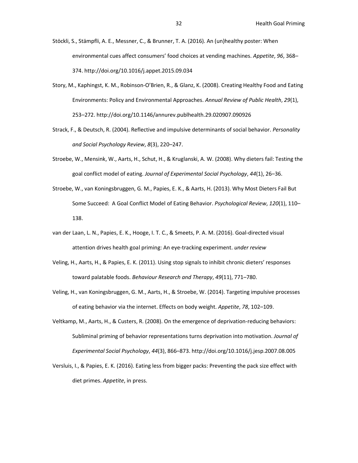- Stöckli, S., Stämpfli, A. E., Messner, C., & Brunner, T. A. (2016). An (un)healthy poster: When environmental cues affect consumers' food choices at vending machines. *Appetite*, *96*, 368– 374. http://doi.org/10.1016/j.appet.2015.09.034
- Story, M., Kaphingst, K. M., Robinson-O'Brien, R., & Glanz, K. (2008). Creating Healthy Food and Eating Environments: Policy and Environmental Approaches. *Annual Review of Public Health*, *29*(1), 253–272. http://doi.org/10.1146/annurev.publhealth.29.020907.090926
- Strack, F., & Deutsch, R. (2004). Reflective and impulsive determinants of social behavior. *Personality and Social Psychology Review*, *8*(3), 220–247.
- Stroebe, W., Mensink, W., Aarts, H., Schut, H., & Kruglanski, A. W. (2008). Why dieters fail: Testing the goal conflict model of eating. *Journal of Experimental Social Psychology*, *44*(1), 26–36.
- Stroebe, W., van Koningsbruggen, G. M., Papies, E. K., & Aarts, H. (2013). Why Most Dieters Fail But Some Succeed: A Goal Conflict Model of Eating Behavior. *Psychological Review*, *120*(1), 110– 138.
- van der Laan, L. N., Papies, E. K., Hooge, I. T. C., & Smeets, P. A. M. (2016). Goal-directed visual attention drives health goal priming: An eye-tracking experiment. *under review*
- Veling, H., Aarts, H., & Papies, E. K. (2011). Using stop signals to inhibit chronic dieters' responses toward palatable foods. *Behaviour Research and Therapy*, *49*(11), 771–780.
- Veling, H., van Koningsbruggen, G. M., Aarts, H., & Stroebe, W. (2014). Targeting impulsive processes of eating behavior via the internet. Effects on body weight. *Appetite*, *78*, 102–109.
- Veltkamp, M., Aarts, H., & Custers, R. (2008). On the emergence of deprivation-reducing behaviors: Subliminal priming of behavior representations turns deprivation into motivation. *Journal of Experimental Social Psychology*, *44*(3), 866–873. http://doi.org/10.1016/j.jesp.2007.08.005
- Versluis, I., & Papies, E. K. (2016). Eating less from bigger packs: Preventing the pack size effect with diet primes. *Appetite*, in press.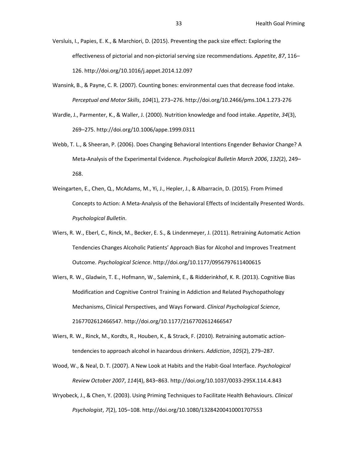Versluis, I., Papies, E. K., & Marchiori, D. (2015). Preventing the pack size effect: Exploring the effectiveness of pictorial and non-pictorial serving size recommendations. *Appetite*, *87*, 116– 126. http://doi.org/10.1016/j.appet.2014.12.097

- Wansink, B., & Payne, C. R. (2007). Counting bones: environmental cues that decrease food intake. *Perceptual and Motor Skills*, *104*(1), 273–276. http://doi.org/10.2466/pms.104.1.273-276
- Wardle, J., Parmenter, K., & Waller, J. (2000). Nutrition knowledge and food intake. *Appetite*, *34*(3), 269–275. http://doi.org/10.1006/appe.1999.0311
- Webb, T. L., & Sheeran, P. (2006). Does Changing Behavioral Intentions Engender Behavior Change? A Meta-Analysis of the Experimental Evidence. *Psychological Bulletin March 2006*, *132*(2), 249– 268.
- Weingarten, E., Chen, Q., McAdams, M., Yi, J., Hepler, J., & Albarracin, D. (2015). From Primed Concepts to Action: A Meta-Analysis of the Behavioral Effects of Incidentally Presented Words. *Psychological Bulletin*.
- Wiers, R. W., Eberl, C., Rinck, M., Becker, E. S., & Lindenmeyer, J. (2011). Retraining Automatic Action Tendencies Changes Alcoholic Patients' Approach Bias for Alcohol and Improves Treatment Outcome. *Psychological Science*. http://doi.org/10.1177/0956797611400615
- Wiers, R. W., Gladwin, T. E., Hofmann, W., Salemink, E., & Ridderinkhof, K. R. (2013). Cognitive Bias Modification and Cognitive Control Training in Addiction and Related Psychopathology Mechanisms, Clinical Perspectives, and Ways Forward. *Clinical Psychological Science*, 2167702612466547. http://doi.org/10.1177/2167702612466547
- Wiers, R. W., Rinck, M., Kordts, R., Houben, K., & Strack, F. (2010). Retraining automatic actiontendencies to approach alcohol in hazardous drinkers. *Addiction*, *105*(2), 279–287.
- Wood, W., & Neal, D. T. (2007). A New Look at Habits and the Habit-Goal Interface. *Psychological Review October 2007*, *114*(4), 843–863. http://doi.org/10.1037/0033-295X.114.4.843
- Wryobeck, J., & Chen, Y. (2003). Using Priming Techniques to Facilitate Health Behaviours. *Clinical Psychologist*, *7*(2), 105–108. http://doi.org/10.1080/13284200410001707553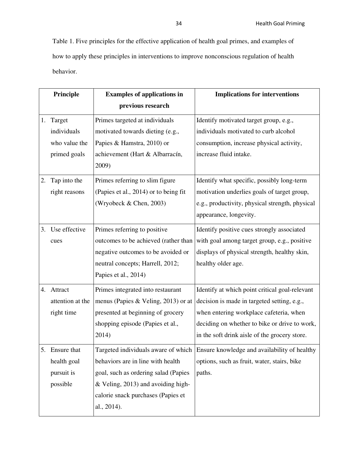Table 1. Five principles for the effective application of health goal primes, and examples of how to apply these principles in interventions to improve nonconscious regulation of health behavior.

|    | Principle        | <b>Examples of applications in</b>    | <b>Implications for interventions</b>                                            |
|----|------------------|---------------------------------------|----------------------------------------------------------------------------------|
|    |                  | previous research                     |                                                                                  |
| 1. | Target           | Primes targeted at individuals        | Identify motivated target group, e.g.,                                           |
|    | individuals      | motivated towards dieting (e.g.,      | individuals motivated to curb alcohol                                            |
|    | who value the    | Papies & Hamstra, 2010) or            | consumption, increase physical activity,                                         |
|    | primed goals     | achievement (Hart & Albarracín,       | increase fluid intake.                                                           |
|    |                  | 2009)                                 |                                                                                  |
| 2. | Tap into the     | Primes referring to slim figure       | Identify what specific, possibly long-term                                       |
|    | right reasons    | (Papies et al., 2014) or to being fit | motivation underlies goals of target group,                                      |
|    |                  | (Wryobeck & Chen, 2003)               | e.g., productivity, physical strength, physical                                  |
|    |                  |                                       | appearance, longevity.                                                           |
| 3. | Use effective    | Primes referring to positive          | Identify positive cues strongly associated                                       |
|    | cues             | outcomes to be achieved (rather than  | with goal among target group, e.g., positive                                     |
|    |                  | negative outcomes to be avoided or    | displays of physical strength, healthy skin,                                     |
|    |                  | neutral concepts; Harrell, 2012;      | healthy older age.                                                               |
|    |                  | Papies et al., 2014)                  |                                                                                  |
|    | 4. Attract       | Primes integrated into restaurant     | Identify at which point critical goal-relevant                                   |
|    | attention at the | menus (Papies & Veling, 2013) or at   | decision is made in targeted setting, e.g.,                                      |
|    | right time       | presented at beginning of grocery     | when entering workplace cafeteria, when                                          |
|    |                  | shopping episode (Papies et al.,      | deciding on whether to bike or drive to work,                                    |
|    |                  | 2014)                                 | in the soft drink aisle of the grocery store.                                    |
| 5. | Ensure that      |                                       | Targeted individuals aware of which Ensure knowledge and availability of healthy |
|    | health goal      | behaviors are in line with health     | options, such as fruit, water, stairs, bike                                      |
|    | pursuit is       | goal, such as ordering salad (Papies  | paths.                                                                           |
|    | possible         | & Veling, 2013) and avoiding high-    |                                                                                  |
|    |                  | calorie snack purchases (Papies et    |                                                                                  |
|    |                  | al., 2014).                           |                                                                                  |